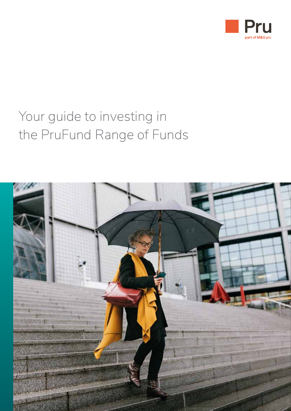

# Your guide to investing in the PruFund Range of Funds

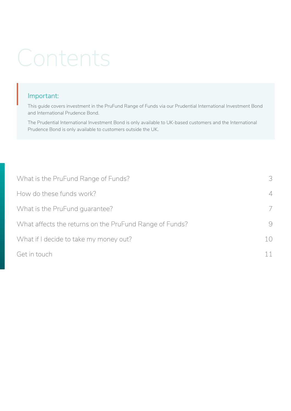# Contents

# Important: Impo

This guide covers investment in the PruFund Range of Funds via our Prudential International Investment Bond and International Prudence Bond.

The Prudential International Investment Bond is only available to UK-based customers and the International Prudence Bond is only available to customers outside the UK.

| What is the PruFund Range of Funds?                     | 3                             |
|---------------------------------------------------------|-------------------------------|
| How do these funds work?                                | $\overline{\mathcal{A}}$<br>7 |
| What is the PruFund guarantee?                          |                               |
| What affects the returns on the PruFund Range of Funds? | 9                             |
| What if I decide to take my money out?                  | 10                            |
| Get in touch                                            | 11                            |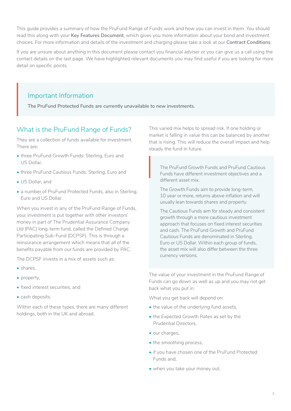This guide provides a summary of how the PruFund Range of Funds work and how you can invest in them. You should read this along with your **Key Features Document**, which gives you more information about your bond and investment choices. For more information and details of the investment and charging please take a look at our **Contract Conditions**.

If you are unsure about anything in this document please contact you financial adviser or you can give us a call using the contact details on the last page. We have highlighted relevant documents you may find useful if you are looking for more detail on specific points.

# Important Information

**The PruFund Protected Funds are currently unavailable to new investments.** 

# What is the PruFund Range of Funds?

They are a collection of funds available for investment. There are:

- three PruFund Growth Funds: Sterling, Euro and US Dollar,
- three PruFund Cautious Funds: Sterling, Euro and
- US Dollar, and
- a number of PruFund Protected Funds, also in Sterling, Euro and US Dollar.

When you invest in any of the PruFund Range of Funds, your investment is put together with other investors' money in part of The Prudential Assurance Company Ltd (PAC) long-term fund, called the Defined Charge Participating Sub-Fund (DCPSF). This is through a reinsurance arrangement which means that all of the benefits payable from our funds are provided by PAC.

The DCPSF invests in a mix of assets such as:

- shares,
- property,
- fixed interest securities, and
- cash deposits.

Within each of these types, there are many different holdings, both in the UK and abroad.

This varied mix helps to spread risk. If one holding or market is falling in value this can be balanced by another that is rising. This will reduce the overall impact and help steady the fund in future.

The PruFund Growth Funds and PruFund Cautious Funds have different investment objectives and a different asset mix.  $\left|\begin{array}{cc} \uparrow & \uparrow \\ \uparrow & \uparrow \\ \uparrow & \downarrow \\ \downarrow & \downarrow \\ \downarrow & \downarrow \end{array}\right|$ 

The Growth Funds aim to provide long-term, 10 year or more, returns above inflation and will usually lean towards shares and property.

The Cautious Funds aim for steady and consistent growth through a more cautious investment approach that focuses on fixed interest securities and cash. The PruFund Growth and PruFund Cautious Funds are denominated in Sterling, Euro or US Dollar. Within each group of funds, the asset mix will also differ between the three currency versions.

The value of your investment in the PruFund Range of Funds can go down as well as up and you may not get back what you put in.

What you get back will depend on:

- the value of the underlying fund assets,
- the Expected Growth Rates as set by the Prudential Directors,
- our charges,
- the smoothing process,
- if you have chosen one of the PruFund Protected Funds and,
- when you take your money out.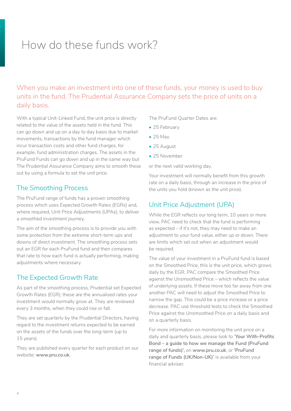# How do these funds work?

When you make an investment into one of these funds, your money is used to buy units in the fund. The Prudential Assurance Company sets the price of units on a daily basis.

With a typical Unit-Linked Fund, the unit price is directly related to the value of the assets held in the fund. This can go down and up on a day to day basis due to market movements, transactions by the fund manager which incur transaction costs and other fund charges, for example, fund administration charges. The assets in the PruFund Funds can go down and up in the same way but The Prudential Assurance Company aims to smooth these out by using a formula to set the unit price.

### The Smoothing Process

The PruFund range of funds has a proven smoothing process which uses Expected Growth Rates (EGRs) and, where required, Unit Price Adjustments (UPAs), to deliver a smoothed investment journey.

The aim of the smoothing process is to provide you with some protection from the extreme short-term ups and downs of direct investment. The smoothing process sets out an EGR for each PruFund fund and then compares that rate to how each fund is actually performing, making adjustments where necessary.

### The Expected Growth Rate

As part of the smoothing process, Prudential set Expected Growth Rates (EGR); these are the annualised rates your investment would normally grow at. They are reviewed every 3 months, when they could rise or fall.

They are set quarterly by the Prudential Directors, having regard to the investment returns expected to be earned on the assets of the funds over the long-term (up to 15 years).

They are published every quarter for each product on our website: **www.pru.co.uk.**

The PruFund Quarter Dates are:

- 25 February
- 25 May
- 25 August
- 25 November

or the next valid working day.

Your investment will normally benefit from this growth rate on a daily basis, through an increase in the price of the units you hold (known as the unit price).

# Unit Price Adjustment (UPA)

While the EGR reflects our long term, 10 years or more view, PAC need to check that the fund is performing as expected – if it's not, they may need to make an adjustment to your fund value, either up or down. There are limits which set out when an adjustment would be required.

The value of your investment in a PruFund fund is based on the Smoothed Price, this is the unit price, which grows daily by the EGR. PAC compare the Smoothed Price against the Unsmoothed Price – which reflects the value of underlying assets. If these move too far away from one another PAC will need to adjust the Smoothed Price to narrow the gap. This could be a price increase or a price decrease. PAC use threshold tests to check the Smoothed Price against the Unsmoothed Price on a daily basis and on a quarterly basis.

For more information on monitoring the unit price on a daily and quarterly basis, please look to '**Your With-Profits Bond – a guide to how we manage the Fund (PruFund range of funds)',** on **www.pru.co.uk**, or **'PruFund range of Funds (UK/Non-UK)'** is available from your financial adviser.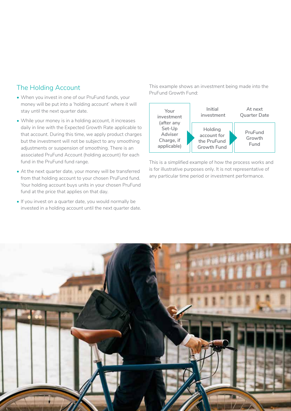### The Holding Account

- When you invest in one of our PruFund funds, your money will be put into a 'holding account' where it will stay until the next quarter date.
- While your money is in a holding account, it increases daily in line with the Expected Growth Rate applicable to that account. During this time, we apply product charges but the investment will not be subject to any smoothing adjustments or suspension of smoothing. There is an associated PruFund Account (holding account) for each fund in the PruFund fund range.
- At the next quarter date, your money will be transferred from that holding account to your chosen PruFund fund. Your holding account buys units in your chosen PruFund fund at the price that applies on that day.
- If you invest on a quarter date, you would normally be invested in a holding account until the next quarter date.

This example shows an investment being made into the PruFund Growth Fund:



This is a simplified example of how the process works and is for illustrative purposes only. It is not representative of any particular time period or investment performance.

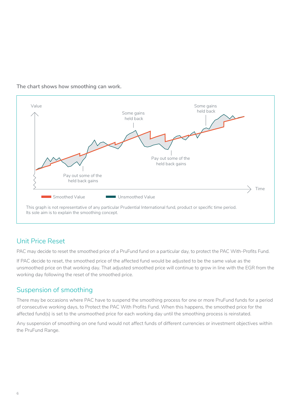

**The chart shows how smoothing can work.**

# Unit Price Reset

PAC may decide to reset the smoothed price of a PruFund fund on a particular day, to protect the PAC With-Profits Fund.

If PAC decide to reset, the smoothed price of the affected fund would be adjusted to be the same value as the unsmoothed price on that working day. That adjusted smoothed price will continue to grow in line with the EGR from the working day following the reset of the smoothed price.

### Suspension of smoothing

There may be occasions where PAC have to suspend the smoothing process for one or more PruFund funds for a period of consecutive working days, to Protect the PAC With Profits Fund. When this happens, the smoothed price for the affected fund(s) is set to the unsmoothed price for each working day until the smoothing process is reinstated.

Any suspension of smoothing on one fund would not affect funds of different currencies or investment objectives within the PruFund Range.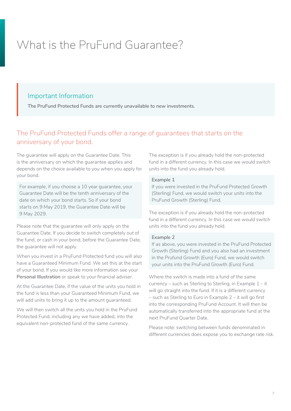# What is the PruFund Guarantee?

# Important Information

**The PruFund Protected Funds are currently unavailable to new investments.** 

# The PruFund Protected Funds offer a range of guarantees that starts on the anniversary of your bond.

The guarantee will apply on the Guarantee Date. This is the anniversary on which the guarantee applies and depends on the choice available to you when you apply for your bond.

For example, if you choose a 10 year guarantee, your Guarantee Date will be the tenth anniversary of the date on which your bond starts. So if your bond starts on 9 May 2019, the Guarantee Date will be 9 May 2029.

Please note that the guarantee will only apply on the Guarantee Date. If you decide to switch completely out of the fund, or cash in your bond, before the Guarantee Date, the guarantee will not apply.

When you invest in a PruFund Protected fund you will also have a Guaranteed Minimum Fund. We set this at the start of your bond. If you would like more information see your **Personal Illustration** or speak to your financial adviser.

At the Guarantee Date, if the value of the units you hold in the fund is less than your Guaranteed Minimum Fund, we will add units to bring it up to the amount guaranteed.

We will then switch all the units you hold in the PruFund Protected Fund, including any we have added, into the equivalent non-protected fund of the same currency.

The exception is if you already hold the non-protected fund in a different currency. In this case we would switch units into the fund you already hold.

#### **Example 1**

If you were invested in the PruFund Protected Growth (Sterling) Fund, we would switch your units into the PruFund Growth (Sterling) Fund.

The exception is if you already hold the non-protected fund in a different currency. In this case we would switch units into the fund you already hold.

#### **Example 2**

If as above, you were invested in the PruFund Protected Growth (Sterling) Fund and you also had an investment in the Prufund Growth (Euro) Fund, we would switch your units into the PruFund Growth (Euro) Fund.

Where the switch is made into a fund of the same currency – such as Sterling to Sterling, in Example 1 – it will go straight into the fund. If it is a different currency – such as Sterling to Euro in Example 2 – it will go first into the corresponding PruFund Account. It will then be automatically transferred into the appropriate fund at the next PruFund Quarter Date.

Please note: switching between funds denominated in different currencies does expose you to exchange rate risk.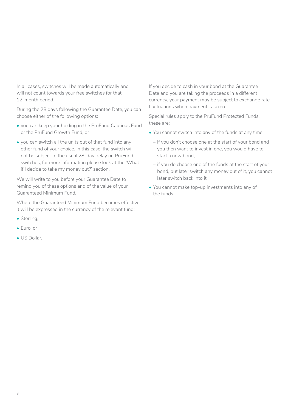In all cases, switches will be made automatically and will not count towards your free switches for that 12-month period.

During the 28 days following the Guarantee Date, you can choose either of the following options:

- you can keep your holding in the PruFund Cautious Fund or the PruFund Growth Fund, or
- you can switch all the units out of that fund into any other fund of your choice. In this case, the switch will not be subject to the usual 28-day delay on PruFund switches, for more information please look at the 'What if I decide to take my money out?' section.

We will write to you before your Guarantee Date to remind you of these options and of the value of your Guaranteed Minimum Fund.

Where the Guaranteed Minimum Fund becomes effective, it will be expressed in the currency of the relevant fund:

- Sterling,
- Euro, or
- US Dollar.

If you decide to cash in your bond at the Guarantee Date and you are taking the proceeds in a different currency, your payment may be subject to exchange rate fluctuations when payment is taken.

Special rules apply to the PruFund Protected Funds, these are:

- You cannot switch into any of the funds at any time:
	- if you don't choose one at the start of your bond and you then want to invest in one, you would have to start a new bond;
	- if you do choose one of the funds at the start of your bond, but later switch any money out of it, you cannot later switch back into it.
- You cannot make top-up investments into any of the funds.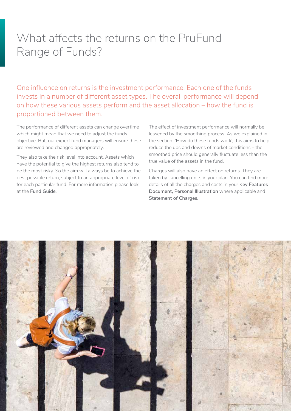# What affects the returns on the PruFund Range of Funds?

One influence on returns is the investment performance. Each one of the funds invests in a number of different asset types. The overall performance will depend on how these various assets perform and the asset allocation – how the fund is proportioned between them.

The performance of different assets can change overtime which might mean that we need to adjust the funds objective. But, our expert fund managers will ensure these are reviewed and changed appropriately.

They also take the risk level into account. Assets which have the potential to give the highest returns also tend to be the most risky. So the aim will always be to achieve the best possible return, subject to an appropriate level of risk for each particular fund. For more information please look at the **Fund Guide**.

The effect of investment performance will normally be lessened by the smoothing process. As we explained in the section 'How do these funds work', this aims to help reduce the ups and downs of market conditions – the smoothed price should generally fluctuate less than the true value of the assets in the fund.

Charges will also have an effect on returns. They are taken by cancelling units in your plan. You can find more details of all the charges and costs in your K**ey Features Document, Personal Illustration** where applicable and **Statement of Charges.**

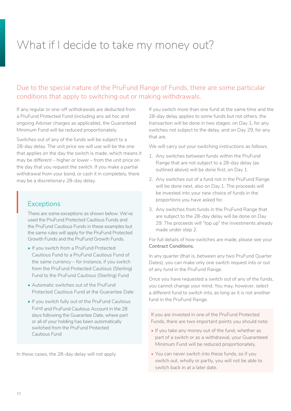# What if I decide to take my money out?

# Due to the special nature of the PruFund Range of Funds, there are some particular conditions that apply to switching out or making withdrawals.

If any regular or one-off withdrawals are deducted from a PruFund Protected Fund (including any ad hoc and ongoing Adviser charges as applicable), the Guaranteed Minimum Fund will be reduced proportionately.

Switches out of any of the funds will be subject to a 28-day delay. The unit price we will use will be the one that applies on the day the switch is made, which means it may be different – higher or lower – from the unit price on the day that you request the switch. If you make a partial withdrawal from your bond, or cash it in completely, there may be a discretionary 28-day delay.

# **Exceptions**  $E$

There are some exceptions as shown below. We've used the PruFund Protected Cautious Funds and the PruFund Cautious Funds in these examples but the same rules will apply for the PruFund Protected Growth Funds and the PruFund Growth Funds.

- If you switch from a PruFund Protected Cautious Fund to a PruFund Cautious Fund of the same currency – for instance, if you switch from the PruFund Protected Cautious (Sterling) Fund to the PruFund Cautious (Sterling) Fund
- Automatic switches out of the PruFund Protected Cautious Fund at the Guarantee Date
- If you switch fully out of the PruFund Cautious Fund and PruFund Cautious Account in the 28 days following the Guarantee Date, where part or all of your holding has been automatically switched from the PruFund Protected Cautious Fund

In these cases, the 28-day delay will not apply.

If you switch more than one fund at the same time and the 28-day delay applies to some funds but not others, the transaction will be done in two stages: on Day 1, for any switches not subject to the delay, and on Day 29, for any that are.

We will carry out your switching instructions as follows.

- 1. Any switches between funds within the PruFund Range that are not subject to a 28-day delay (as outlined above) will be done first, on Day 1.
- 2. Any switches out of a fund not in the PruFund Range will be done next, also on Day 1. The proceeds will be invested into your new choice of funds in the proportions you have asked for.
- 3. Any switches from funds in the PruFund Range that are subject to the 28-day delay will be done on Day 29. The proceeds will "top up" the investments already made under step 2.

For full details of how switches are made, please see your **Contract Conditions.**

In any quarter (that is, between any two PruFund Quarter Dates), you can make only one switch request into or out of any fund in the PruFund Range.

Once you have requested a switch out of any of the funds, you cannot change your mind. You may, however, select a different fund to switch into, as long as it is not another fund in the PruFund Range.

If you are invested in one of the PruFund Protected Funds, there are two important points you should note:

- If you take any money out of the fund, whether as part of a switch or as a withdrawal, your Guaranteed Minimum Fund will be reduced proportionately.
- You can never switch into these funds, so if you switch out, wholly or partly, you will not be able to switch back in at a later date.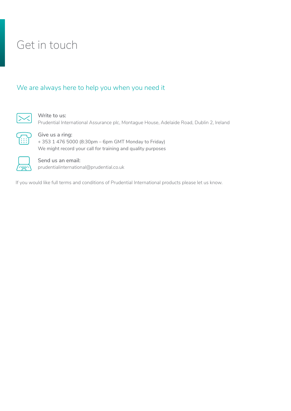# Get in touch

### We are always here to help you when you need it



**Write to us:**

Prudential International Assurance plc, Montague House, Adelaide Road, Dublin 2, Ireland



**Give us a ring:** + 353 1 476 5000 (8:30pm – 6pm GMT Monday to Friday) We might record your call for training and quality purposes



**Send us an email:** prudentialinternational@prudential.co.uk

If you would like full terms and conditions of Prudential International products please let us know.